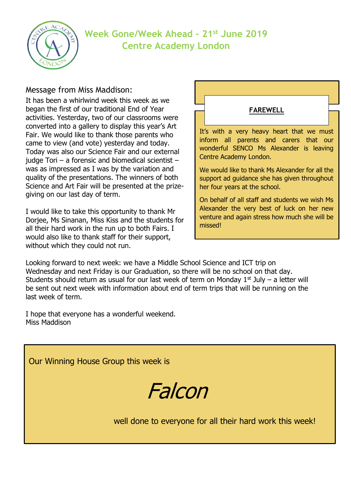

# **Week Gone/Week Ahead – 21st June 2019 Centre Academy London**

#### Message from Miss Maddison:

It has been a whirlwind week this week as we began the first of our traditional End of Year activities. Yesterday, two of our classrooms were converted into a gallery to display this year's Art Fair. We would like to thank those parents who came to view (and vote) yesterday and today. Today was also our Science Fair and our external judge Tori – a forensic and biomedical scientist – was as impressed as I was by the variation and quality of the presentations. The winners of both Science and Art Fair will be presented at the prizegiving on our last day of term.

I would like to take this opportunity to thank Mr Dorjee, Ms Sinanan, Miss Kiss and the students for all their hard work in the run up to both Fairs. I would also like to thank staff for their support, without which they could not run.

It's with a very heavy heart that we must inform all parents and carers that our wonderful SENCO Ms Alexander is leaving Centre Academy London. We would like to thank Ms Alexander for all the support ad guidance she has given throughout her four years at the school. **FAREWELL**

On behalf of all staff and students we wish Ms Alexander the very best of luck on her new venture and again stress how much she will be missed!

Looking forward to next week: we have a Middle School Science and ICT trip on Wednesday and next Friday is our Graduation, so there will be no school on that day. Students should return as usual for our last week of term on Monday  $1<sup>st</sup>$  July – a letter will be sent out next week with information about end of term trips that will be running on the last week of term.

I hope that everyone has a wonderful weekend. Miss Maddison

Our Winning House Group this week is

Falcon

well done to everyone for all their hard work this week!